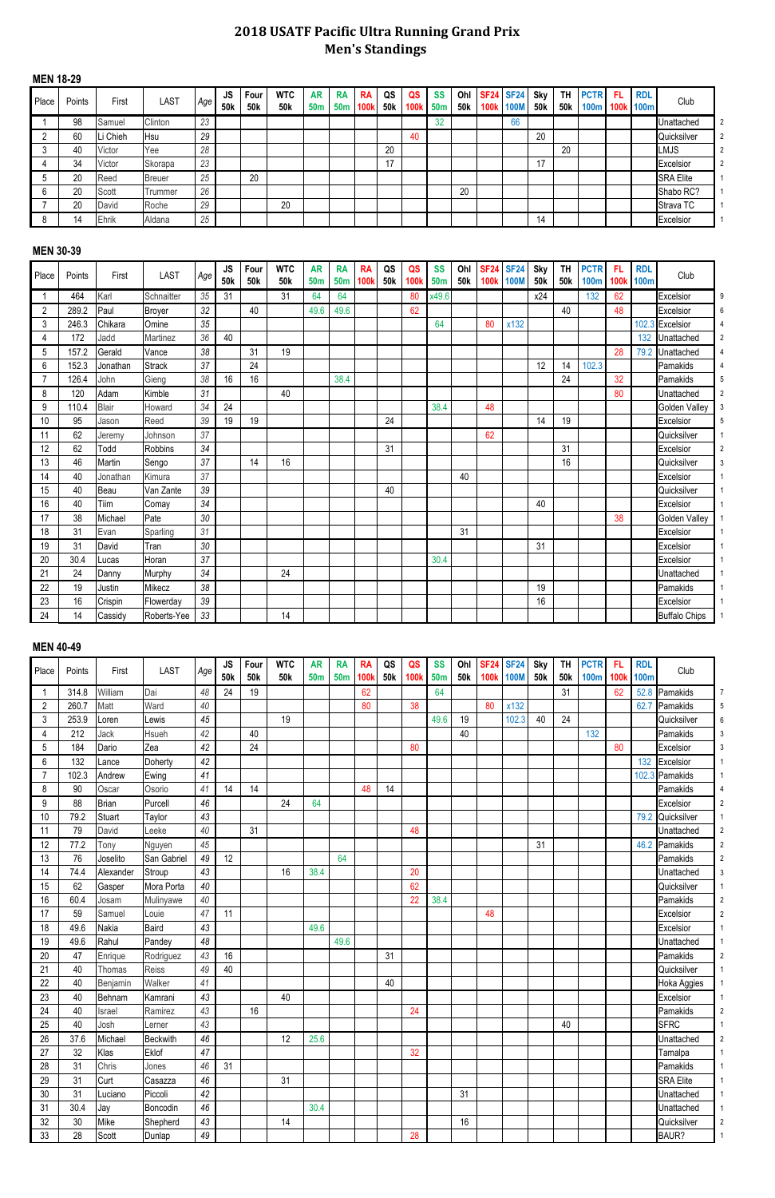## **2018 USATF Pacific Ultra Running Grand Prix Men's Standings**

#### **MEN 18-29**

| Place | Points | First   | LAST          | Age | JS.<br>50k | Four<br>50 <sub>k</sub> | <b>WTC</b><br>50k | <b>AR</b><br>50 <sub>m</sub> | <b>RA</b><br>50 <sub>m</sub> | <b>RA</b><br>100 <sub>i</sub> | QS<br>50 <sub>k</sub> | QS<br>1001 | <b>SS</b><br>50 <sub>m</sub> | Ohl<br>50k | <b>100k</b> | <b>SF24 SF24</b><br>100M | Sky<br>50 <sub>k</sub> | <b>TH</b><br>50 <sub>k</sub> | <b>PCTR</b><br><b>100m</b> | -FL<br>100k | <b>RDL</b><br><b>100m</b> | Club             |  |
|-------|--------|---------|---------------|-----|------------|-------------------------|-------------------|------------------------------|------------------------------|-------------------------------|-----------------------|------------|------------------------------|------------|-------------|--------------------------|------------------------|------------------------------|----------------------------|-------------|---------------------------|------------------|--|
|       | 98     | Samuel  | Clinton       | 23  |            |                         |                   |                              |                              |                               |                       |            | 32                           |            |             | 66                       |                        |                              |                            |             |                           | Jnattached       |  |
|       | 60     | i Chieh | Hsu           | 29  |            |                         |                   |                              |                              |                               |                       | 40         |                              |            |             |                          | 20                     |                              |                            |             |                           | Quicksilver      |  |
|       | 40     | Victor  | Yee           | 28  |            |                         |                   |                              |                              |                               | 20                    |            |                              |            |             |                          |                        | 20                           |                            |             |                           | <b>LMJS</b>      |  |
|       | 34     | Victor  | Skorapa       | 23  |            |                         |                   |                              |                              |                               |                       |            |                              |            |             |                          | 47                     |                              |                            |             |                           | Excelsior        |  |
|       | 20     | Reed    | <b>Breuer</b> | 25  |            | 20                      |                   |                              |                              |                               |                       |            |                              |            |             |                          |                        |                              |                            |             |                           | <b>SRA Elite</b> |  |
|       | 20     | Scott   | l rummer      | 26  |            |                         |                   |                              |                              |                               |                       |            |                              | 20         |             |                          |                        |                              |                            |             |                           | Shabo RC?        |  |
|       | 20     | David   | Roche         | 29  |            |                         | 20                |                              |                              |                               |                       |            |                              |            |             |                          |                        |                              |                            |             |                           | Strava TC        |  |
|       | 14     | Ehrik   | Aldana        | 25  |            |                         |                   |                              |                              |                               |                       |            |                              |            |             |                          | 14                     |                              |                            |             |                           | Excelsior        |  |

## **MEN 30-39**

| Place          | Points | First         | <b>LAST</b>    | Age | <b>JS</b> | Four            | <b>WTC</b>      | <b>AR</b>       | <b>RA</b>  | <b>RA</b>   | QS         | QS   | <b>SS</b>  | Ohl        | <b>SF24</b> | <b>SF24</b> | Sky        | <b>TH</b>  | <b>PCTR</b> | FL          | <b>RDL</b>  | Club                 |                |
|----------------|--------|---------------|----------------|-----|-----------|-----------------|-----------------|-----------------|------------|-------------|------------|------|------------|------------|-------------|-------------|------------|------------|-------------|-------------|-------------|----------------------|----------------|
|                |        |               |                |     | 50k       | 50 <sub>k</sub> | 50 <sub>k</sub> | 50 <sub>m</sub> | <b>50m</b> | <b>100k</b> | <b>50k</b> | 100k | <b>50m</b> | <b>50k</b> |             | 100k 100M   | <b>50k</b> | <b>50k</b> | <b>100m</b> | <b>100k</b> | <b>100m</b> |                      |                |
|                | 464    | Karl          | Schnaitter     | 35  | 31        |                 | 31              | 64              | 64         |             |            | 80   | x49.6      |            |             |             | x24        |            | 132         | 62          |             | Excelsior            | 9              |
| $\overline{2}$ | 289.2  | Paul          | <b>Broyer</b>  | 32  |           | 40              |                 | 49.6            | 49.6       |             |            | 62   |            |            |             |             |            | 40         |             | 48          |             | Excelsior            | 6              |
| 3              | 246.3  | Chikara       | Omine          | 35  |           |                 |                 |                 |            |             |            |      | 64         |            | 80          | x132        |            |            |             |             | 102.3       | Excelsior            |                |
| 4              | 172    | Jadd          | Martinez       | 36  | 40        |                 |                 |                 |            |             |            |      |            |            |             |             |            |            |             |             | 132         | Unattached           | $\overline{2}$ |
| 5              | 157.2  | Gerald        | Vance          | 38  |           | 31              | 19              |                 |            |             |            |      |            |            |             |             |            |            |             | 28          | 79.2        | Unattached           |                |
| 6              | 152.3  | Jonathan      | <b>Strack</b>  | 37  |           | 24              |                 |                 |            |             |            |      |            |            |             |             | 12         | 14         | 102.3       |             |             | Pamakids             |                |
| 7              | 126.4  | John          | Gieng          | 38  | 16        | 16              |                 |                 | 38.4       |             |            |      |            |            |             |             |            | 24         |             | 32          |             | Pamakids             |                |
| 8              | 120    | Adam          | Kimble         | 31  |           |                 | 40              |                 |            |             |            |      |            |            |             |             |            |            |             | 80          |             | Unattached           | $\overline{2}$ |
| 9              | 110.4  | <b>Blair</b>  | Howard         | 34  | 24        |                 |                 |                 |            |             |            |      | 38.4       |            | 48          |             |            |            |             |             |             | <b>Golden Valley</b> |                |
| 10             | 95     | Jason         | Reed           | 39  | 19        | 19              |                 |                 |            |             | 24         |      |            |            |             |             | 14         | 19         |             |             |             | Excelsior            | 5              |
| 11             | 62     | Jeremy        | Johnson        | 37  |           |                 |                 |                 |            |             |            |      |            |            | 62          |             |            |            |             |             |             | Quicksilver          |                |
| 12             | 62     | Todd          | <b>Robbins</b> | 34  |           |                 |                 |                 |            |             | 31         |      |            |            |             |             |            | 31         |             |             |             | Excelsior            |                |
| 13             | 46     | <b>Martin</b> | Sengo          | 37  |           | 14              | 16              |                 |            |             |            |      |            |            |             |             |            | 16         |             |             |             | Quicksilver          |                |
| 14             | 40     | Jonathan      | Kimura         | 37  |           |                 |                 |                 |            |             |            |      |            | 40         |             |             |            |            |             |             |             | Excelsior            |                |
| 15             | 40     | Beau          | Van Zante      | 39  |           |                 |                 |                 |            |             | 40         |      |            |            |             |             |            |            |             |             |             | Quicksilver          |                |
| 16             | 40     | Tiim          | Comay          | 34  |           |                 |                 |                 |            |             |            |      |            |            |             |             | 40         |            |             |             |             | Excelsior            |                |
| 17             | 38     | Michael       | Pate           | 30  |           |                 |                 |                 |            |             |            |      |            |            |             |             |            |            |             | 38          |             | Golden Valley        |                |
| 18             | 31     | Evan          | Sparling       | 31  |           |                 |                 |                 |            |             |            |      |            | 31         |             |             |            |            |             |             |             | Excelsior            |                |
| 19             | 31     | David         | Tran           | 30  |           |                 |                 |                 |            |             |            |      |            |            |             |             | 31         |            |             |             |             | Excelsior            |                |
| 20             | 30.4   | Lucas         | Horan          | 37  |           |                 |                 |                 |            |             |            |      | 30.4       |            |             |             |            |            |             |             |             | Excelsior            |                |
| 21             | 24     | Danny         | Murphy         | 34  |           |                 | 24              |                 |            |             |            |      |            |            |             |             |            |            |             |             |             | Unattached           |                |
| 22             | 19     | Justin        | Mikecz         | 38  |           |                 |                 |                 |            |             |            |      |            |            |             |             | 19         |            |             |             |             | Pamakids             |                |
| 23             | 16     | Crispin       | Flowerday      | 39  |           |                 |                 |                 |            |             |            |      |            |            |             |             | 16         |            |             |             |             | Excelsior            |                |
| 24             | 14     | Cassidy       | Roberts-Yee    | 33  |           |                 | 14              |                 |            |             |            |      |            |            |             |             |            |            |             |             |             | <b>Buffalo Chips</b> |                |

#### **MEN 40-49**

| Place          | Points | First        | <b>LAST</b>     | Age    | <b>JS</b><br>50 <sub>k</sub> | Four<br>50 <sub>k</sub> | <b>WTC</b><br>50 <sub>k</sub> | <b>AR</b><br>50 <sub>m</sub> | <b>RA</b><br><b>50m</b> | <b>RA</b><br><b>100k</b> | QS<br><b>50k</b> | QS<br><b>100k</b> | <b>SS</b><br><b>50m</b> | Ohl<br><b>50k</b> | <b>100k</b> | <b>SF24 SF24</b><br><b>100M</b> | Sky<br><b>50k</b> | <b>TH</b><br><b>50k</b> | <b>PCTR</b><br><b>100m</b> | <b>FL</b><br><b>100k</b> | <b>RDL</b><br><b>100m</b> | Club             |                |
|----------------|--------|--------------|-----------------|--------|------------------------------|-------------------------|-------------------------------|------------------------------|-------------------------|--------------------------|------------------|-------------------|-------------------------|-------------------|-------------|---------------------------------|-------------------|-------------------------|----------------------------|--------------------------|---------------------------|------------------|----------------|
|                | 314.8  | William      | Dai             | 48     | 24                           | 19                      |                               |                              |                         | 62                       |                  |                   | 64                      |                   |             |                                 |                   | 31                      |                            | 62                       | 52.8                      | Pamakids         | 7              |
| $\overline{2}$ | 260.7  | Matt         | Ward            | 40     |                              |                         |                               |                              |                         | 80                       |                  | 38                |                         |                   | 80          | x132                            |                   |                         |                            |                          | 62.7                      | Pamakids         | 5              |
| 3              | 253.9  | Loren        | Lewis           | 45     |                              |                         | 19                            |                              |                         |                          |                  |                   | 49.6                    | 19                |             | 102.3                           | 40                | 24                      |                            |                          |                           | Quicksilver      | 6              |
| 4              | 212    | Jack         | Hsueh           | 42     |                              | 40                      |                               |                              |                         |                          |                  |                   |                         | 40                |             |                                 |                   |                         | 132                        |                          |                           | Pamakids         |                |
| 5              | 184    | Dario        | Zea             | 42     |                              | 24                      |                               |                              |                         |                          |                  | 80                |                         |                   |             |                                 |                   |                         |                            | 80                       |                           | Excelsior        | 3              |
| 6              | 132    | Lance        | Doherty         | 42     |                              |                         |                               |                              |                         |                          |                  |                   |                         |                   |             |                                 |                   |                         |                            |                          | 132                       | Excelsior        |                |
| $\overline{7}$ | 102.3  | Andrew       | Ewing           | 41     |                              |                         |                               |                              |                         |                          |                  |                   |                         |                   |             |                                 |                   |                         |                            |                          |                           | 102.3 Pamakids   |                |
| 8              | 90     | Oscar        | Osorio          | 41     | 14                           | 14                      |                               |                              |                         | 48                       | 14               |                   |                         |                   |             |                                 |                   |                         |                            |                          |                           | Pamakids         |                |
| 9              | 88     | <b>Brian</b> | Purcell         | 46     |                              |                         | 24                            | 64                           |                         |                          |                  |                   |                         |                   |             |                                 |                   |                         |                            |                          |                           | Excelsior        | $\overline{2}$ |
| 10             | 79.2   | Stuart       | Taylor          | 43     |                              |                         |                               |                              |                         |                          |                  |                   |                         |                   |             |                                 |                   |                         |                            |                          | 79.2                      | Quicksilver      |                |
| 11             | 79     | David        | Leeke           | 40     |                              | 31                      |                               |                              |                         |                          |                  | 48                |                         |                   |             |                                 |                   |                         |                            |                          |                           | Unattached       | $\overline{2}$ |
| 12             | 77.2   | Tony         | Nguyen          | 45     |                              |                         |                               |                              |                         |                          |                  |                   |                         |                   |             |                                 | 31                |                         |                            |                          | 46.2                      | Pamakids         | $\overline{2}$ |
| 13             | 76     | Joselito     | San Gabriel     | 49     | 12                           |                         |                               |                              | 64                      |                          |                  |                   |                         |                   |             |                                 |                   |                         |                            |                          |                           | Pamakids         |                |
| 14             | 74.4   | Alexander    | Stroup          | 43     |                              |                         | 16                            | 38.4                         |                         |                          |                  | 20                |                         |                   |             |                                 |                   |                         |                            |                          |                           | Unattached       | 3              |
| 15             | 62     | Gasper       | Mora Porta      | $40\,$ |                              |                         |                               |                              |                         |                          |                  | 62                |                         |                   |             |                                 |                   |                         |                            |                          |                           | Quicksilver      |                |
| 16             | 60.4   | Josam        | Mulinyawe       | 40     |                              |                         |                               |                              |                         |                          |                  | 22                | 38.4                    |                   |             |                                 |                   |                         |                            |                          |                           | Pamakids         | $\overline{2}$ |
| 17             | 59     | Samuel       | Louie           | 47     | 11                           |                         |                               |                              |                         |                          |                  |                   |                         |                   | 48          |                                 |                   |                         |                            |                          |                           | Excelsior        | $\mathfrak{p}$ |
| 18             | 49.6   | Nakia        | <b>Baird</b>    | 43     |                              |                         |                               | 49.6                         |                         |                          |                  |                   |                         |                   |             |                                 |                   |                         |                            |                          |                           | Excelsior        |                |
| 19             | 49.6   | Rahul        | Pandey          | 48     |                              |                         |                               |                              | 49.6                    |                          |                  |                   |                         |                   |             |                                 |                   |                         |                            |                          |                           | Unattached       |                |
| 20             | 47     | Enrique      | Rodriguez       | 43     | 16                           |                         |                               |                              |                         |                          | 31               |                   |                         |                   |             |                                 |                   |                         |                            |                          |                           | Pamakids         |                |
| 21             | 40     | Thomas       | Reiss           | 49     | 40                           |                         |                               |                              |                         |                          |                  |                   |                         |                   |             |                                 |                   |                         |                            |                          |                           | Quicksilver      |                |
| 22             | 40     | Benjamin     | Walker          | 41     |                              |                         |                               |                              |                         |                          | 40               |                   |                         |                   |             |                                 |                   |                         |                            |                          |                           | Hoka Aggies      |                |
| 23             | 40     | Behnam       | Kamrani         | 43     |                              |                         | 40                            |                              |                         |                          |                  |                   |                         |                   |             |                                 |                   |                         |                            |                          |                           | Excelsior        |                |
| 24             | 40     | Israel       | Ramirez         | 43     |                              | 16                      |                               |                              |                         |                          |                  | 24                |                         |                   |             |                                 |                   |                         |                            |                          |                           | Pamakids         | $\overline{2}$ |
| 25             | 40     | Josh         | Lerner          | 43     |                              |                         |                               |                              |                         |                          |                  |                   |                         |                   |             |                                 |                   | 40                      |                            |                          |                           | <b>SFRC</b>      |                |
| 26             | 37.6   | Michael      | <b>Beckwith</b> | 46     |                              |                         | 12                            | 25.6                         |                         |                          |                  |                   |                         |                   |             |                                 |                   |                         |                            |                          |                           | Unattached       | $\overline{2}$ |
| 27             | 32     | Klas         | Eklof           | 47     |                              |                         |                               |                              |                         |                          |                  | 32                |                         |                   |             |                                 |                   |                         |                            |                          |                           | Tamalpa          |                |
| 28             | 31     | Chris        | Jones           | 46     | 31                           |                         |                               |                              |                         |                          |                  |                   |                         |                   |             |                                 |                   |                         |                            |                          |                           | Pamakids         |                |
| 29             | 31     | Curt         | Casazza         | 46     |                              |                         | 31                            |                              |                         |                          |                  |                   |                         |                   |             |                                 |                   |                         |                            |                          |                           | <b>SRA Elite</b> |                |
| 30             | 31     | Luciano      | Piccoli         | 42     |                              |                         |                               |                              |                         |                          |                  |                   |                         | 31                |             |                                 |                   |                         |                            |                          |                           | Unattached       |                |
| 31             | 30.4   | Jay          | Boncodin        | 46     |                              |                         |                               | 30.4                         |                         |                          |                  |                   |                         |                   |             |                                 |                   |                         |                            |                          |                           | Unattached       |                |
| 32             | 30     | Mike         | Shepherd        | 43     |                              |                         | 14                            |                              |                         |                          |                  |                   |                         | 16                |             |                                 |                   |                         |                            |                          |                           | Quicksilver      |                |
| 33             | 28     | Scott        | Dunlap          | 49     |                              |                         |                               |                              |                         |                          |                  | 28                |                         |                   |             |                                 |                   |                         |                            |                          |                           | BAUR?            |                |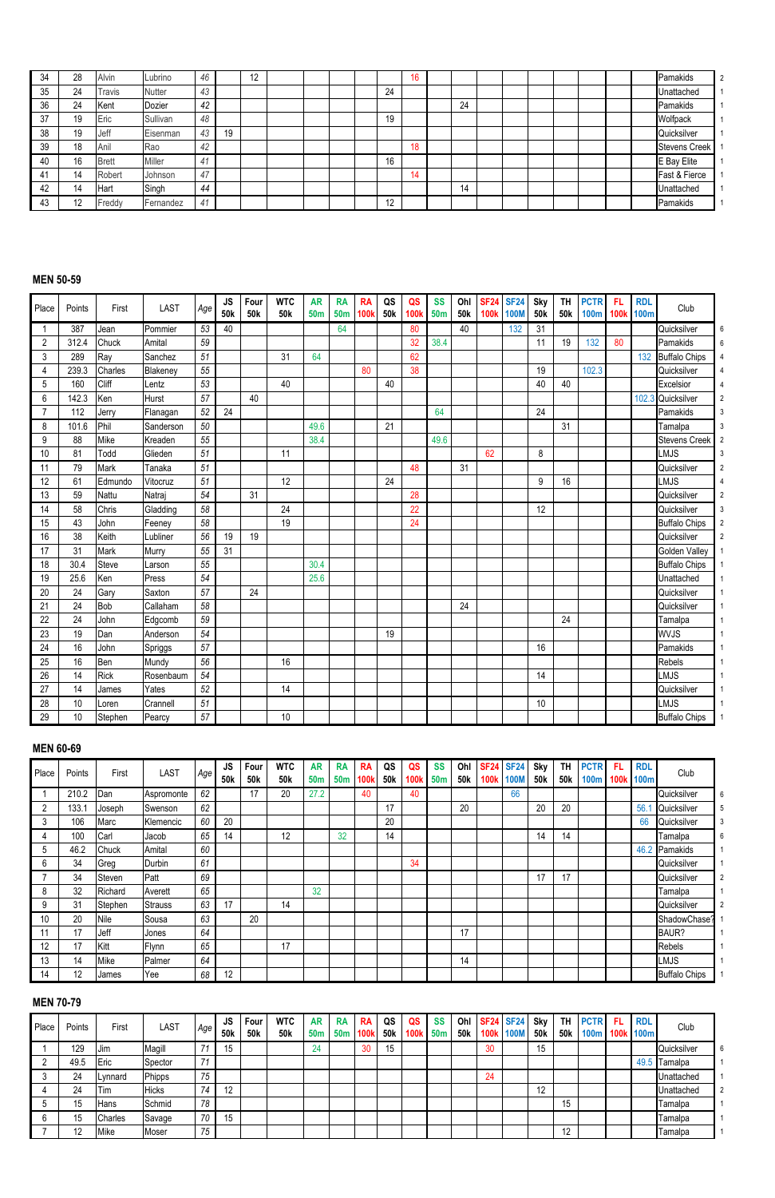| 34 | 28 | Alvin         | Lubrino   | 46 |    | 12 |  |  |          | 16 |    |  |  |  | Pamakids             |
|----|----|---------------|-----------|----|----|----|--|--|----------|----|----|--|--|--|----------------------|
| 35 | 24 | Travis        | Nutter    | 43 |    |    |  |  | 24       |    |    |  |  |  | Unattached           |
| 36 | 24 | Kent          | Dozier    | 42 |    |    |  |  |          |    | 24 |  |  |  | Pamakids             |
| 37 | 19 | Eric          | Sullivan  | 48 |    |    |  |  | 19       |    |    |  |  |  | Wolfpack             |
| 38 | 19 | Jeff          | Eisenman  | 43 | 19 |    |  |  |          |    |    |  |  |  | Quicksilver          |
| 39 | 18 | Anil          | Rao       | 42 |    |    |  |  |          | 18 |    |  |  |  | <b>Stevens Creek</b> |
| 40 | 16 | Brett         | Miller    | 41 |    |    |  |  | 16       |    |    |  |  |  | E Bay Elite          |
|    | 14 | Robert        | Johnson   | 47 |    |    |  |  |          | 14 |    |  |  |  | Fast & Fierce        |
| 42 | 14 | <b>I</b> Hart | Singh     | 44 |    |    |  |  |          |    | 14 |  |  |  | Unattached           |
| 43 | 19 | Freddy        | Fernandez | 4  |    |    |  |  | 10<br>L. |    |    |  |  |  | Pamakids             |

#### **MEN 50-59**

| Place          | Points | First   | <b>LAST</b> | Age | <b>JS</b><br>50 <sub>k</sub> | Four<br>50 <sub>k</sub> | <b>WTC</b><br>50 <sub>k</sub> | <b>AR</b><br><b>50m</b> | <b>RA</b><br><b>50m</b> | <b>RA</b><br><b>100k</b> | QS<br>50 <sub>k</sub> | QS<br><b>100k</b> | <b>SS</b><br>50 <sub>m</sub> | Ohl<br>50k | <b>SF24</b> | <b>SF24</b><br>100k 100M | Sky<br>50 <sub>k</sub> | <b>TH</b><br>50 <sub>k</sub> | <b>PCTR</b><br><b>100m</b> | <b>FL</b> | <b>RDL</b><br>100k 100m | Club                 |
|----------------|--------|---------|-------------|-----|------------------------------|-------------------------|-------------------------------|-------------------------|-------------------------|--------------------------|-----------------------|-------------------|------------------------------|------------|-------------|--------------------------|------------------------|------------------------------|----------------------------|-----------|-------------------------|----------------------|
|                | 387    | Jean    | Pommier     | 53  | 40                           |                         |                               |                         | 64                      |                          |                       | 80                |                              | 40         |             | 132                      | 31                     |                              |                            |           |                         | Quicksilver          |
| $\overline{c}$ | 312.4  | Chuck   | Amital      | 59  |                              |                         |                               |                         |                         |                          |                       | 32                | 38.4                         |            |             |                          | 11                     | 19                           | 132                        | 80        |                         | Pamakids             |
| 3              | 289    | Ray     | Sanchez     | 51  |                              |                         | 31                            | 64                      |                         |                          |                       | 62                |                              |            |             |                          |                        |                              |                            |           |                         | 132 Buffalo Chips    |
| 4              | 239.3  | Charles | Blakeney    | 55  |                              |                         |                               |                         |                         | 80                       |                       | 38                |                              |            |             |                          | 19                     |                              | 102.3                      |           |                         | Quicksilver          |
| 5              | 160    | Cliff   | Lentz       | 53  |                              |                         | 40                            |                         |                         |                          | 40                    |                   |                              |            |             |                          | 40                     | 40                           |                            |           |                         | Excelsior            |
| 6              | 142.3  | Ken     | Hurst       | 57  |                              | 40                      |                               |                         |                         |                          |                       |                   |                              |            |             |                          |                        |                              |                            |           | 102.3                   | Quicksilver          |
| 7              | 112    | Jerry   | Flanagan    | 52  | 24                           |                         |                               |                         |                         |                          |                       |                   | 64                           |            |             |                          | 24                     |                              |                            |           |                         | Pamakids             |
| 8              | 101.6  | Phil    | Sanderson   | 50  |                              |                         |                               | 49.6                    |                         |                          | 21                    |                   |                              |            |             |                          |                        | 31                           |                            |           |                         | Tamalpa              |
| 9              | 88     | Mike    | Kreaden     | 55  |                              |                         |                               | 38.4                    |                         |                          |                       |                   | 49.6                         |            |             |                          |                        |                              |                            |           |                         | <b>Stevens Creek</b> |
| 10             | 81     | Todd    | Glieden     | 51  |                              |                         | 11                            |                         |                         |                          |                       |                   |                              |            | 62          |                          | 8                      |                              |                            |           |                         | <b>LMJS</b>          |
| 11             | 79     | Mark    | Tanaka      | 51  |                              |                         |                               |                         |                         |                          |                       | 48                |                              | 31         |             |                          |                        |                              |                            |           |                         | Quicksilver          |
| 12             | 61     | Edmundo | Vitocruz    | 51  |                              |                         | 12                            |                         |                         |                          | 24                    |                   |                              |            |             |                          | 9                      | 16                           |                            |           |                         | <b>LMJS</b>          |
| 13             | 59     | Nattu   | Natraj      | 54  |                              | 31                      |                               |                         |                         |                          |                       | 28                |                              |            |             |                          |                        |                              |                            |           |                         | Quicksilver          |
| 14             | 58     | Chris   | Gladding    | 58  |                              |                         | 24                            |                         |                         |                          |                       | 22                |                              |            |             |                          | 12                     |                              |                            |           |                         | Quicksilver          |
| 15             | 43     | John    | Feeney      | 58  |                              |                         | 19                            |                         |                         |                          |                       | 24                |                              |            |             |                          |                        |                              |                            |           |                         | <b>Buffalo Chips</b> |
| 16             | 38     | Keith   | Lubliner    | 56  | 19                           | 19                      |                               |                         |                         |                          |                       |                   |                              |            |             |                          |                        |                              |                            |           |                         | Quicksilver          |
| 17             | 31     | Mark    | Murry       | 55  | 31                           |                         |                               |                         |                         |                          |                       |                   |                              |            |             |                          |                        |                              |                            |           |                         | Golden Valley        |
| 18             | 30.4   | Steve   | Larson      | 55  |                              |                         |                               | 30.4                    |                         |                          |                       |                   |                              |            |             |                          |                        |                              |                            |           |                         | <b>Buffalo Chips</b> |
| 19             | 25.6   | Ken     | Press       | 54  |                              |                         |                               | 25.6                    |                         |                          |                       |                   |                              |            |             |                          |                        |                              |                            |           |                         | Unattached           |
| 20             | 24     | Gary    | Saxton      | 57  |                              | 24                      |                               |                         |                         |                          |                       |                   |                              |            |             |                          |                        |                              |                            |           |                         | Quicksilver          |
| 21             | 24     | Bob     | Callaham    | 58  |                              |                         |                               |                         |                         |                          |                       |                   |                              | 24         |             |                          |                        |                              |                            |           |                         | Quicksilver          |
| 22             | 24     | John    | Edgcomb     | 59  |                              |                         |                               |                         |                         |                          |                       |                   |                              |            |             |                          |                        | 24                           |                            |           |                         | Tamalpa              |
| 23             | 19     | Dan     | Anderson    | 54  |                              |                         |                               |                         |                         |                          | 19                    |                   |                              |            |             |                          |                        |                              |                            |           |                         | <b>WVJS</b>          |
| 24             | 16     | John    | Spriggs     | 57  |                              |                         |                               |                         |                         |                          |                       |                   |                              |            |             |                          | 16                     |                              |                            |           |                         | Pamakids             |
| 25             | 16     | Ben     | Mundy       | 56  |                              |                         | 16                            |                         |                         |                          |                       |                   |                              |            |             |                          |                        |                              |                            |           |                         | Rebels               |
| 26             | 14     | Rick    | Rosenbaum   | 54  |                              |                         |                               |                         |                         |                          |                       |                   |                              |            |             |                          | 14                     |                              |                            |           |                         | <b>LMJS</b>          |
| 27             | 14     | James   | Yates       | 52  |                              |                         | 14                            |                         |                         |                          |                       |                   |                              |            |             |                          |                        |                              |                            |           |                         | Quicksilver          |
| 28             | 10     | Loren   | Crannell    | 51  |                              |                         |                               |                         |                         |                          |                       |                   |                              |            |             |                          | 10                     |                              |                            |           |                         | <b>LMJS</b>          |
| 29             | 10     | Stephen | Pearcy      | 57  |                              |                         | 10                            |                         |                         |                          |                       |                   |                              |            |             |                          |                        |                              |                            |           |                         | <b>Buffalo Chips</b> |

### **MEN 60-69**

| Place | Points | First   | LAST       | Age | <b>JS</b><br><b>50k</b> | Four<br>50 <sub>k</sub> | <b>WTC</b><br>50 <sub>k</sub> | <b>AR</b><br><b>50m</b> | <b>RA</b><br>50 <sub>m</sub> | <b>RA</b><br>100k | QS<br>50 <sub>k</sub> | QS<br><b>100</b> | <b>SS</b><br>50 <sub>m</sub> | Ohl<br>50 <sub>k</sub> | <b>SF24</b><br>100k | <b>SF24</b><br>100N | Sky<br><b>50k</b> | <b>TH</b><br>50 <sub>k</sub> | <b>PCTR</b><br><b>100m</b> | FL<br>100k | <b>RDL</b><br>100 <sub>m</sub> | Club                 |   |
|-------|--------|---------|------------|-----|-------------------------|-------------------------|-------------------------------|-------------------------|------------------------------|-------------------|-----------------------|------------------|------------------------------|------------------------|---------------------|---------------------|-------------------|------------------------------|----------------------------|------------|--------------------------------|----------------------|---|
|       | 210.2  | Dan     | Aspromonte | 62  |                         | 17                      | 20                            | 27.2                    |                              | 40                |                       | 40               |                              |                        |                     | 66                  |                   |                              |                            |            |                                | Quicksilver          | 6 |
|       | 133.7  | Joseph  | Swenson    | 62  |                         |                         |                               |                         |                              |                   | 17                    |                  |                              | 20                     |                     |                     | 20                | 20                           |                            |            | 56.1                           | Quicksilver          |   |
|       | 106    | Marc    | Klemencic  | 60  | 20                      |                         |                               |                         |                              |                   | 20                    |                  |                              |                        |                     |                     |                   |                              |                            |            | 66                             | Quicksilver          |   |
| 4     | 100    | Carl    | Jacob      | 65  | 14                      |                         | 12                            |                         | 32                           |                   | 14                    |                  |                              |                        |                     |                     | 14                | 14                           |                            |            |                                | Tamalpa              | 6 |
|       | 46.2   | Chuck   | Amital     | 60  |                         |                         |                               |                         |                              |                   |                       |                  |                              |                        |                     |                     |                   |                              |                            |            | 46.2                           | Pamakids             |   |
| 6     | 34     | Greg    | Durbin     | 61  |                         |                         |                               |                         |                              |                   |                       | 34               |                              |                        |                     |                     |                   |                              |                            |            |                                | Quicksilver          |   |
|       | 34     | Steven  | Patt       | 69  |                         |                         |                               |                         |                              |                   |                       |                  |                              |                        |                     |                     | 17                | 17                           |                            |            |                                | Quicksilver          |   |
| 8     | 32     | Richard | Averett    | 65  |                         |                         |                               | 32                      |                              |                   |                       |                  |                              |                        |                     |                     |                   |                              |                            |            |                                | Tamalpa              |   |
| 9     | 31     | Stephen | Strauss    | 63  | 17                      |                         | 14                            |                         |                              |                   |                       |                  |                              |                        |                     |                     |                   |                              |                            |            |                                | Quicksilver          |   |
| 10    | 20     | Nile    | Sousa      | 63  |                         | 20                      |                               |                         |                              |                   |                       |                  |                              |                        |                     |                     |                   |                              |                            |            |                                | ShadowChase?         |   |
|       | 17     | Jeff    | Jones      | 64  |                         |                         |                               |                         |                              |                   |                       |                  |                              | 17                     |                     |                     |                   |                              |                            |            |                                | BAUR?                |   |
| 12    | 17     | Kitt    | Flynn      | 65  |                         |                         | 17                            |                         |                              |                   |                       |                  |                              |                        |                     |                     |                   |                              |                            |            |                                | Rebels               |   |
| 13    | 14     | Mike    | Palmer     | 64  |                         |                         |                               |                         |                              |                   |                       |                  |                              | 14                     |                     |                     |                   |                              |                            |            |                                | <b>LMJS</b>          |   |
| 14    | 12     | James   | Yee        | 68  | 12                      |                         |                               |                         |                              |                   |                       |                  |                              |                        |                     |                     |                   |                              |                            |            |                                | <b>Buffalo Chips</b> |   |

#### **MEN 70-79**

| Place | Points  | First   | <b>LAST</b> | Age | JS.<br><b>50k</b> | Four<br>50k | <b>WTC</b><br>50 <sub>k</sub> | <b>AR</b><br>50 <sub>m</sub> | <b>RA</b><br>50 <sub>m</sub> | <b>RA</b><br><b>100k</b> | QS<br><b>50k</b> | QS<br>100 | <b>SS</b><br>50 <sub>m</sub> | Ohl<br><b>50k</b> | <b>100</b> | <b>SF24 SF24</b><br>: 100M | Sky<br>50 <sub>k</sub> | <b>TH</b><br>50 <sub>k</sub> | <b>PCTR</b><br><b>100m</b> | FL<br><b>100k</b> | <b>RDL</b><br>100m | Club        |
|-------|---------|---------|-------------|-----|-------------------|-------------|-------------------------------|------------------------------|------------------------------|--------------------------|------------------|-----------|------------------------------|-------------------|------------|----------------------------|------------------------|------------------------------|----------------------------|-------------------|--------------------|-------------|
|       | 129     | IJim    | Magill      | 74  | 15                |             |                               |                              |                              | 30                       | 15<br>ιυ         |           |                              |                   | 30         |                            | 15                     |                              |                            |                   |                    | Quicksilver |
|       | 49.5    | Eric    | Spector     | 74  |                   |             |                               |                              |                              |                          |                  |           |                              |                   |            |                            |                        |                              |                            |                   | 49.5               | Tamalpa     |
|       | 24      | Lynnard | Phipps      | 75  |                   |             |                               |                              |                              |                          |                  |           |                              |                   | 24         |                            |                        |                              |                            |                   |                    | Unattached  |
|       | 24      | Tim     | Hicks       | 74  | 10<br>14          |             |                               |                              |                              |                          |                  |           |                              |                   |            |                            | 12                     |                              |                            |                   |                    | Unattached  |
|       | 15      | Hans    | Schmid      | 78  |                   |             |                               |                              |                              |                          |                  |           |                              |                   |            |                            |                        | 15                           |                            |                   |                    | Tamalpa     |
|       | 15      | Charles | Savage      | 70  | 15                |             |                               |                              |                              |                          |                  |           |                              |                   |            |                            |                        |                              |                            |                   |                    | Tamalpa     |
|       | 10<br>ᅟ | Mike    | Moser       | 75  |                   |             |                               |                              |                              |                          |                  |           |                              |                   |            |                            |                        | 12                           |                            |                   |                    | Tamalpa     |